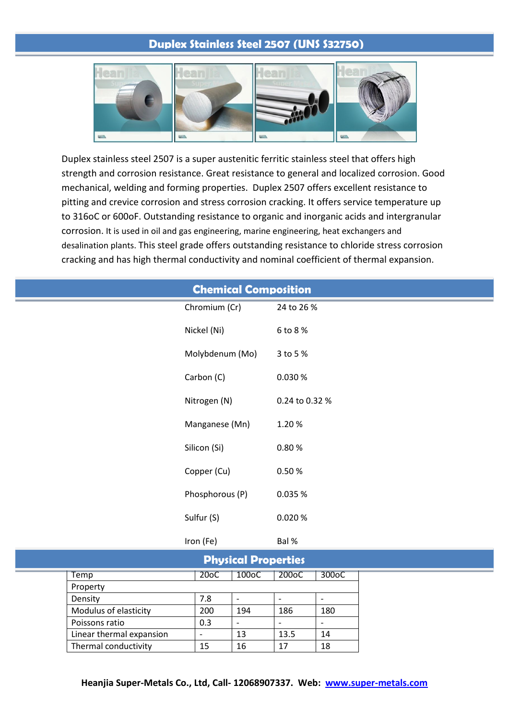# **Duplex Stainless Steel 2507 (UNS S32750)**



Duplex stainless steel 2507 is a super austenitic ferritic stainless steel that offers high strength and corrosion resistance. Great resistance to general and localized corrosion. Good mechanical, welding and forming properties. Duplex 2507 offers excellent resistance to pitting and crevice corrosion and stress corrosion cracking. It offers service temperature up to 316oC or 600oF. Outstanding resistance to organic and inorganic acids and intergranular corrosion. It is used in oil and gas engineering, marine engineering, heat exchangers and desalination plants. This steel grade offers outstanding resistance to chloride stress corrosion cracking and has high thermal conductivity and nominal coefficient of thermal expansion.

| <b>Chemical Composition</b> |                 |                |  |  |  |
|-----------------------------|-----------------|----------------|--|--|--|
|                             | Chromium (Cr)   | 24 to 26 %     |  |  |  |
|                             | Nickel (Ni)     | 6 to 8 %       |  |  |  |
|                             | Molybdenum (Mo) | 3 to 5 %       |  |  |  |
|                             | Carbon (C)      | 0.030%         |  |  |  |
|                             | Nitrogen (N)    | 0.24 to 0.32 % |  |  |  |
|                             | Manganese (Mn)  | 1.20%          |  |  |  |
|                             | Silicon (Si)    | 0.80%          |  |  |  |
|                             | Copper (Cu)     | 0.50%          |  |  |  |
|                             | Phosphorous (P) | 0.035 %        |  |  |  |
|                             | Sulfur (S)      | 0.020%         |  |  |  |
|                             | Iron (Fe)       | Bal %          |  |  |  |
| <b>Physical Properties</b>  |                 |                |  |  |  |

|                          |                   | <b>LUASICAL LIANEI FIES</b> |                    |       |
|--------------------------|-------------------|-----------------------------|--------------------|-------|
| Temp                     | 20 <sub>o</sub> C | 100 <sub>o</sub> C          | 200 <sub>o</sub> C | 300oC |
| Property                 |                   |                             |                    |       |
| Density                  | 7.8               |                             |                    |       |
| Modulus of elasticity    | 200               | 194                         | 186                | 180   |
| Poissons ratio           | 0.3               |                             |                    |       |
| Linear thermal expansion |                   | 13                          | 13.5               | 14    |
| Thermal conductivity     | 15                | 16                          |                    | 18    |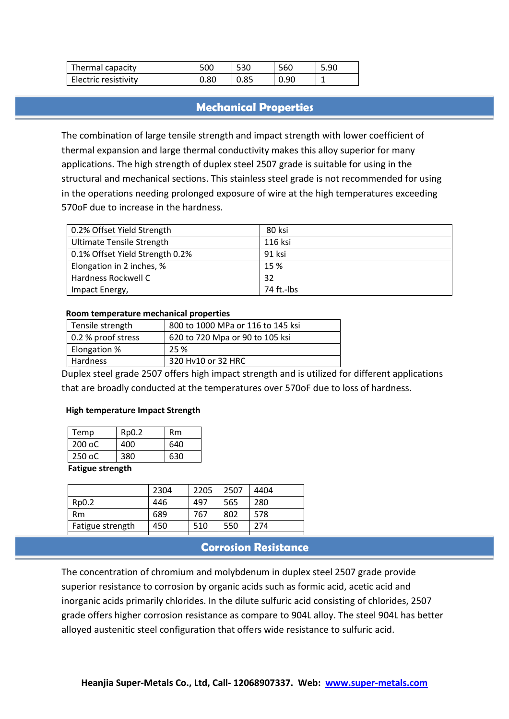| Thermal capacity     | 500  | 53C  | 560  | 5.90 |
|----------------------|------|------|------|------|
| Electric resistivity | 0.80 | 0.85 | 0.90 |      |

## **Mechanical Properties**

The combination of large tensile strength and impact strength with lower coefficient of thermal expansion and large thermal conductivity makes this alloy superior for many applications. The high strength of duplex steel 2507 grade is suitable for using in the structural and mechanical sections. This stainless steel grade is not recommended for using in the operations needing prolonged exposure of wire at the high temperatures exceeding 570oF due to increase in the hardness.

| 0.2% Offset Yield Strength       | 80 ksi     |
|----------------------------------|------------|
| <b>Ultimate Tensile Strength</b> | 116 ksi    |
| 0.1% Offset Yield Strength 0.2%  | 91 ksi     |
| Elongation in 2 inches, %        | 15 %       |
| Hardness Rockwell C              | 32         |
| Impact Energy,                   | 74 ft.-lbs |

| Tensile strength   | 800 to 1000 MPa or 116 to 145 ksi |  |  |  |
|--------------------|-----------------------------------|--|--|--|
| 0.2 % proof stress | 620 to 720 Mpa or 90 to 105 ksi   |  |  |  |
| Elongation %       | 25 %                              |  |  |  |
| Hardness           | 320 Hy10 or 32 HRC                |  |  |  |

#### **Room temperature mechanical properties**

Duplex steel grade 2507 offers high impact strength and is utilized for different applications that are broadly conducted at the temperatures over 570oF due to loss of hardness.

#### **High temperature Impact Strength**

| Temp             | Rp0.2 | Rm  |  |  |
|------------------|-------|-----|--|--|
| $200$ oC         | 400   | 640 |  |  |
| 250 oC           | 380   | 630 |  |  |
| Eatious strongth |       |     |  |  |

#### **Fatigue strength**

|                  | 2304 | 2205 | 2507 | 4404 |
|------------------|------|------|------|------|
| Rp0.2            | 446  | 497  | 565  | 280  |
| Rm               | 689  | 767  | 802  | 578  |
| Fatigue strength | 450  | 510  | 550  | 274  |
|                  |      |      |      |      |

### **Corrosion Resistance**

The concentration of chromium and molybdenum in duplex steel 2507 grade provide superior resistance to corrosion by organic acids such as formic acid, acetic acid and inorganic acids primarily chlorides. In the dilute sulfuric acid consisting of chlorides, 2507 grade offers higher corrosion resistance as compare to 904L alloy. The steel 904L has better alloyed austenitic steel configuration that offers wide resistance to sulfuric acid.